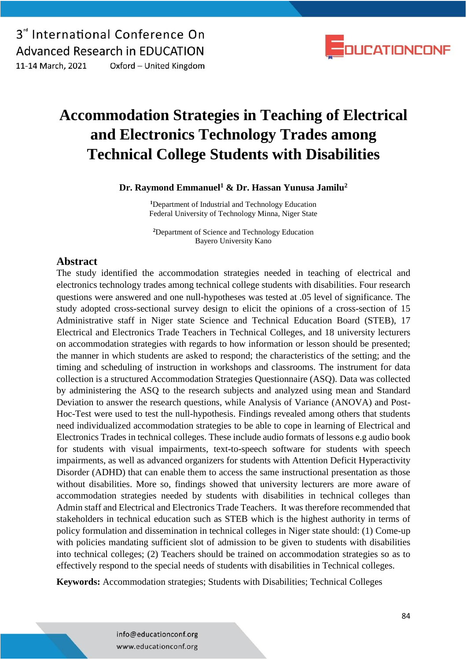3<sup>"</sup> International Conference On **Advanced Research in EDUCATION** 11-14 March, 2021 Oxford - United Kingdom



## **Accommodation Strategies in Teaching of Electrical and Electronics Technology Trades among Technical College Students with Disabilities**

**Dr. Raymond Emmanuel<sup>1</sup> & Dr. Hassan Yunusa Jamilu<sup>2</sup>**

**<sup>1</sup>**Department of Industrial and Technology Education Federal University of Technology Minna, Niger State

**<sup>2</sup>**Department of Science and Technology Education Bayero University Kano

### **Abstract**

The study identified the accommodation strategies needed in teaching of electrical and electronics technology trades among technical college students with disabilities. Four research questions were answered and one null-hypotheses was tested at .05 level of significance. The study adopted cross-sectional survey design to elicit the opinions of a cross-section of 15 Administrative staff in Niger state Science and Technical Education Board (STEB), 17 Electrical and Electronics Trade Teachers in Technical Colleges, and 18 university lecturers on accommodation strategies with regards to how information or lesson should be presented; the manner in which students are asked to respond; the characteristics of the setting; and the timing and scheduling of instruction in workshops and classrooms. The instrument for data collection is a structured Accommodation Strategies Questionnaire (ASQ). Data was collected by administering the ASQ to the research subjects and analyzed using mean and Standard Deviation to answer the research questions, while Analysis of Variance (ANOVA) and Post-Hoc-Test were used to test the null-hypothesis. Findings revealed among others that students need individualized accommodation strategies to be able to cope in learning of Electrical and Electronics Trades in technical colleges. These include audio formats of lessons e.g audio book for students with visual impairments, text-to-speech software for students with speech impairments, as well as advanced organizers for students with Attention Deficit Hyperactivity Disorder (ADHD) that can enable them to access the same instructional presentation as those without disabilities. More so, findings showed that university lecturers are more aware of accommodation strategies needed by students with disabilities in technical colleges than Admin staff and Electrical and Electronics Trade Teachers. It was therefore recommended that stakeholders in technical education such as STEB which is the highest authority in terms of policy formulation and dissemination in technical colleges in Niger state should: (1) Come-up with policies mandating sufficient slot of admission to be given to students with disabilities into technical colleges; (2) Teachers should be trained on accommodation strategies so as to effectively respond to the special needs of students with disabilities in Technical colleges.

**Keywords:** Accommodation strategies; Students with Disabilities; Technical Colleges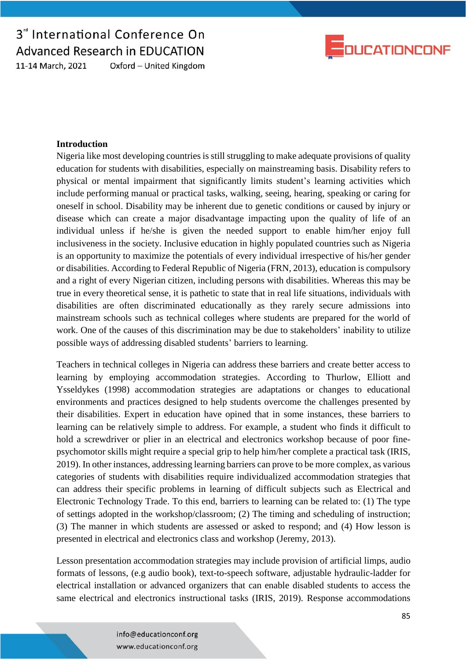3<sup>"</sup> International Conference On **Advanced Research in EDUCATION** Oxford - United Kingdom 11-14 March, 2021



#### **Introduction**

Nigeria like most developing countries is still struggling to make adequate provisions of quality education for students with disabilities, especially on mainstreaming basis. Disability refers to physical or mental impairment that significantly limits student's learning activities which include performing manual or practical tasks, walking, seeing, hearing, speaking or caring for oneself in school. Disability may be inherent due to genetic conditions or caused by injury or disease which can create a major disadvantage impacting upon the quality of life of an individual unless if he/she is given the needed support to enable him/her enjoy full inclusiveness in the society. Inclusive education in highly populated countries such as Nigeria is an opportunity to maximize the potentials of every individual irrespective of his/her gender or disabilities. According to Federal Republic of Nigeria (FRN, 2013), education is compulsory and a right of every Nigerian citizen, including persons with disabilities. Whereas this may be true in every theoretical sense, it is pathetic to state that in real life situations, individuals with disabilities are often discriminated educationally as they rarely secure admissions into mainstream schools such as technical colleges where students are prepared for the world of work. One of the causes of this discrimination may be due to stakeholders' inability to utilize possible ways of addressing disabled students' barriers to learning.

Teachers in technical colleges in Nigeria can address these barriers and create better access to learning by employing accommodation strategies. According to Thurlow, Elliott and Ysseldykes (1998) accommodation strategies are adaptations or changes to educational environments and practices designed to help students overcome the challenges presented by their disabilities. Expert in education have opined that in some instances, these barriers to learning can be relatively simple to address. For example, a student who finds it difficult to hold a screwdriver or plier in an electrical and electronics workshop because of poor finepsychomotor skills might require a special grip to help him/her complete a practical task (IRIS, 2019). In other instances, addressing learning barriers can prove to be more complex, as various categories of students with disabilities require individualized accommodation strategies that can address their specific problems in learning of difficult subjects such as Electrical and Electronic Technology Trade. To this end, barriers to learning can be related to: (1) The type of settings adopted in the workshop/classroom; (2) The timing and scheduling of instruction; (3) The manner in which students are assessed or asked to respond; and (4) How lesson is presented in electrical and electronics class and workshop (Jeremy, 2013).

Lesson presentation accommodation strategies may include provision of artificial limps, audio formats of lessons, (e.g audio book), text-to-speech software, adjustable hydraulic-ladder for electrical installation or advanced organizers that can enable disabled students to access the same electrical and electronics instructional tasks (IRIS, 2019). Response accommodations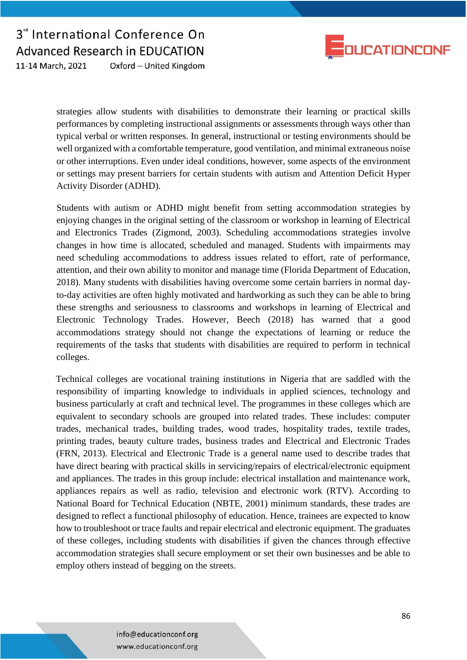

3<sup>"</sup> International Conference On **Advanced Research in EDUCATION** Oxford - United Kingdom 11-14 March, 2021

> strategies allow students with disabilities to demonstrate their learning or practical skills performances by completing instructional assignments or assessments through ways other than typical verbal or written responses. In general, instructional or testing environments should be well organized with a comfortable temperature, good ventilation, and minimal extraneous noise or other interruptions. Even under ideal conditions, however, some aspects of the environment or settings may present barriers for certain students with autism and Attention Deficit Hyper Activity Disorder (ADHD).

> Students with autism or ADHD might benefit from setting accommodation strategies by enjoying changes in the original setting of the classroom or workshop in learning of Electrical and Electronics Trades (Zigmond, 2003). Scheduling accommodations strategies involve changes in how time is allocated, scheduled and managed. Students with impairments may need scheduling accommodations to address issues related to effort, rate of performance, attention, and their own ability to monitor and manage time (Florida Department of Education, 2018). Many students with disabilities having overcome some certain barriers in normal dayto-day activities are often highly motivated and hardworking as such they can be able to bring these strengths and seriousness to classrooms and workshops in learning of Electrical and Electronic Technology Trades. However, Beech (2018) has warned that a good accommodations strategy should not change the expectations of learning or reduce the requirements of the tasks that students with disabilities are required to perform in technical colleges.

> Technical colleges are vocational training institutions in Nigeria that are saddled with the responsibility of imparting knowledge to individuals in applied sciences, technology and business particularly at craft and technical level. The programmes in these colleges which are equivalent to secondary schools are grouped into related trades. These includes: computer trades, mechanical trades, building trades, wood trades, hospitality trades, textile trades, printing trades, beauty culture trades, business trades and Electrical and Electronic Trades (FRN, 2013). Electrical and Electronic Trade is a general name used to describe trades that have direct bearing with practical skills in servicing/repairs of electrical/electronic equipment and appliances. The trades in this group include: electrical installation and maintenance work, appliances repairs as well as radio, television and electronic work (RTV). According to National Board for Technical Education (NBTE, 2001) minimum standards, these trades are designed to reflect a functional philosophy of education. Hence, trainees are expected to know how to troubleshoot or trace faults and repair electrical and electronic equipment. The graduates of these colleges, including students with disabilities if given the chances through effective accommodation strategies shall secure employment or set their own businesses and be able to employ others instead of begging on the streets.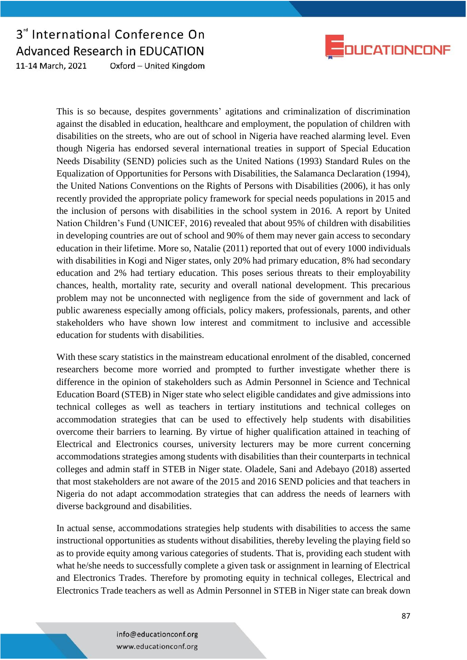



This is so because, despites governments' agitations and criminalization of discrimination against the disabled in education, healthcare and employment, the population of children with disabilities on the streets, who are out of school in Nigeria have reached alarming level. Even though Nigeria has endorsed several international treaties in support of Special Education Needs Disability (SEND) policies such as the United Nations (1993) Standard Rules on the Equalization of Opportunities for Persons with Disabilities, the Salamanca Declaration (1994), the United Nations Conventions on the Rights of Persons with Disabilities (2006), it has only recently provided the appropriate policy framework for special needs populations in 2015 and the inclusion of persons with disabilities in the school system in 2016. A report by United Nation Children's Fund (UNICEF, 2016) revealed that about 95% of children with disabilities in developing countries are out of school and 90% of them may never gain access to secondary education in their lifetime. More so, Natalie (2011) reported that out of every 1000 individuals with disabilities in Kogi and Niger states, only 20% had primary education, 8% had secondary education and 2% had tertiary education. This poses serious threats to their employability chances, health, mortality rate, security and overall national development. This precarious problem may not be unconnected with negligence from the side of government and lack of public awareness especially among officials, policy makers, professionals, parents, and other stakeholders who have shown low interest and commitment to inclusive and accessible education for students with disabilities.

With these scary statistics in the mainstream educational enrolment of the disabled, concerned researchers become more worried and prompted to further investigate whether there is difference in the opinion of stakeholders such as Admin Personnel in Science and Technical Education Board (STEB) in Niger state who select eligible candidates and give admissions into technical colleges as well as teachers in tertiary institutions and technical colleges on accommodation strategies that can be used to effectively help students with disabilities overcome their barriers to learning. By virtue of higher qualification attained in teaching of Electrical and Electronics courses, university lecturers may be more current concerning accommodations strategies among students with disabilities than their counterparts in technical colleges and admin staff in STEB in Niger state. Oladele, Sani and Adebayo (2018) asserted that most stakeholders are not aware of the 2015 and 2016 SEND policies and that teachers in Nigeria do not adapt accommodation strategies that can address the needs of learners with diverse background and disabilities.

In actual sense, accommodations strategies help students with disabilities to access the same instructional opportunities as students without disabilities, thereby leveling the playing field so as to provide equity among various categories of students. That is, providing each student with what he/she needs to successfully complete a given task or assignment in learning of Electrical and Electronics Trades. Therefore by promoting equity in technical colleges, Electrical and Electronics Trade teachers as well as Admin Personnel in STEB in Niger state can break down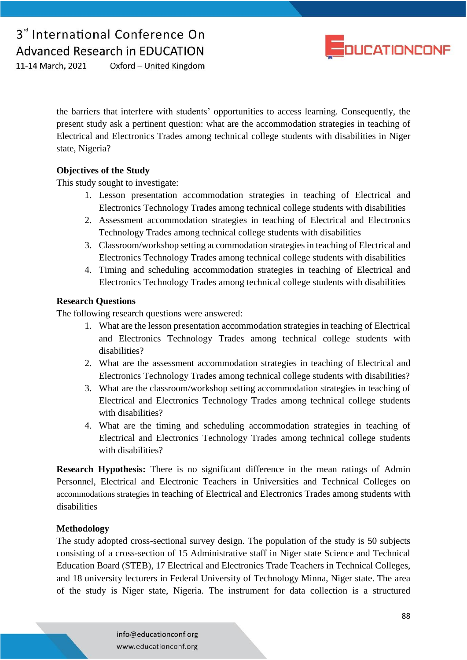

Oxford - United Kingdom 11-14 March, 2021

> the barriers that interfere with students' opportunities to access learning. Consequently, the present study ask a pertinent question: what are the accommodation strategies in teaching of Electrical and Electronics Trades among technical college students with disabilities in Niger state, Nigeria?

### **Objectives of the Study**

This study sought to investigate:

- 1. Lesson presentation accommodation strategies in teaching of Electrical and Electronics Technology Trades among technical college students with disabilities
- 2. Assessment accommodation strategies in teaching of Electrical and Electronics Technology Trades among technical college students with disabilities
- 3. Classroom/workshop setting accommodation strategies in teaching of Electrical and Electronics Technology Trades among technical college students with disabilities
- 4. Timing and scheduling accommodation strategies in teaching of Electrical and Electronics Technology Trades among technical college students with disabilities

### **Research Questions**

The following research questions were answered:

- 1. What are the lesson presentation accommodation strategies in teaching of Electrical and Electronics Technology Trades among technical college students with disabilities?
- 2. What are the assessment accommodation strategies in teaching of Electrical and Electronics Technology Trades among technical college students with disabilities?
- 3. What are the classroom/workshop setting accommodation strategies in teaching of Electrical and Electronics Technology Trades among technical college students with disabilities?
- 4. What are the timing and scheduling accommodation strategies in teaching of Electrical and Electronics Technology Trades among technical college students with disabilities?

**Research Hypothesis:** There is no significant difference in the mean ratings of Admin Personnel, Electrical and Electronic Teachers in Universities and Technical Colleges on accommodations strategies in teaching of Electrical and Electronics Trades among students with disabilities

## **Methodology**

The study adopted cross-sectional survey design. The population of the study is 50 subjects consisting of a cross-section of 15 Administrative staff in Niger state Science and Technical Education Board (STEB), 17 Electrical and Electronics Trade Teachers in Technical Colleges, and 18 university lecturers in Federal University of Technology Minna, Niger state. The area of the study is Niger state, Nigeria. The instrument for data collection is a structured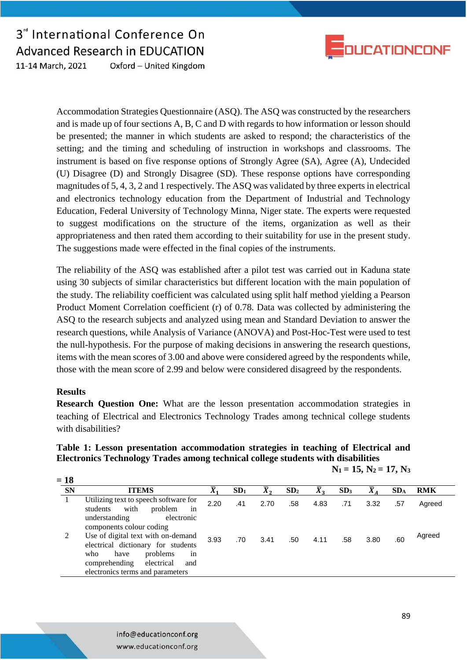

3<sup>"</sup> International Conference On **Advanced Research in EDUCATION** 11-14 March, 2021 Oxford - United Kingdom

> Accommodation Strategies Questionnaire (ASQ). The ASQ was constructed by the researchers and is made up of four sections A, B, C and D with regards to how information or lesson should be presented; the manner in which students are asked to respond; the characteristics of the setting; and the timing and scheduling of instruction in workshops and classrooms. The instrument is based on five response options of Strongly Agree (SA), Agree (A), Undecided (U) Disagree (D) and Strongly Disagree (SD). These response options have corresponding magnitudes of 5, 4, 3, 2 and 1 respectively. The ASQ was validated by three experts in electrical and electronics technology education from the Department of Industrial and Technology Education, Federal University of Technology Minna, Niger state. The experts were requested to suggest modifications on the structure of the items, organization as well as their appropriateness and then rated them according to their suitability for use in the present study. The suggestions made were effected in the final copies of the instruments.

> The reliability of the ASQ was established after a pilot test was carried out in Kaduna state using 30 subjects of similar characteristics but different location with the main population of the study. The reliability coefficient was calculated using split half method yielding a Pearson Product Moment Correlation coefficient (r) of 0.78. Data was collected by administering the ASQ to the research subjects and analyzed using mean and Standard Deviation to answer the research questions, while Analysis of Variance (ANOVA) and Post-Hoc-Test were used to test the null-hypothesis. For the purpose of making decisions in answering the research questions, items with the mean scores of 3.00 and above were considered agreed by the respondents while, those with the mean score of 2.99 and below were considered disagreed by the respondents.

#### **Results**

**= 18**

**Research Question One:** What are the lesson presentation accommodation strategies in teaching of Electrical and Electronics Technology Trades among technical college students with disabilities?

### **Table 1: Lesson presentation accommodation strategies in teaching of Electrical and Electronics Technology Trades among technical college students with disabilities**

| 18         |                                                                            |      |                 |      |                 |                  |                 |               |                 |        |  |
|------------|----------------------------------------------------------------------------|------|-----------------|------|-----------------|------------------|-----------------|---------------|-----------------|--------|--|
| ${\bf SN}$ | <b>ITEMS</b>                                                               |      | SD <sub>1</sub> |      | SD <sub>2</sub> | $\overline{X}_2$ | SD <sub>3</sub> |               | SD <sub>A</sub> | RMK    |  |
|            | Utilizing text to speech software for<br>in<br>with<br>students<br>problem | 2.20 | .41             | 2.70 | .58             |                  |                 | 4.83 .71 3.32 | .57             | Agreed |  |

 $N_1 = 15$ ,  $N_2 = 17$ ,  $N_3$ 

| Utilizing text to speech software for<br>with<br>problem<br>students<br>1n                                                                                                          | 2.20 | .41 | 2.70 | .58 | 4.83 | .71 | 3.32 | .57 | Agreed |
|-------------------------------------------------------------------------------------------------------------------------------------------------------------------------------------|------|-----|------|-----|------|-----|------|-----|--------|
| understanding<br>electronic<br>components colour coding                                                                                                                             |      |     |      |     |      |     |      |     |        |
| Use of digital text with on-demand<br>electrical dictionary for students<br>problems<br>who<br>have<br>1n<br>comprehending<br>electrical<br>and<br>electronics terms and parameters | 3.93 | .70 | 3.41 | .50 | 4.11 | .58 | 3.80 | .60 | Agreed |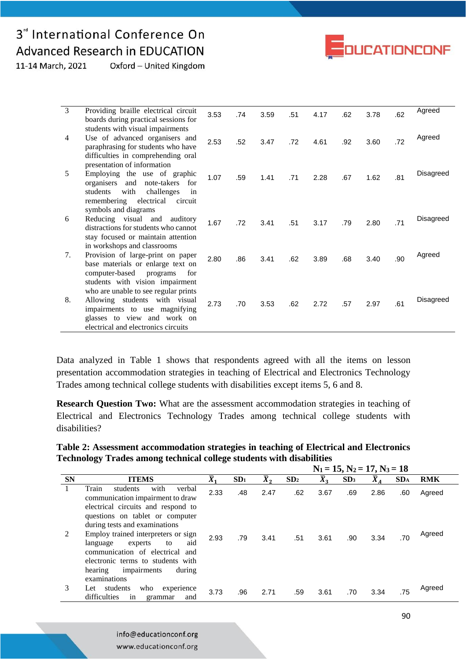## 3<sup>d</sup> International Conference On **Advanced Research in EDUCATION**



11-14 March, 2021 Oxford - United Kingdom

| $\overline{3}$ | Providing braille electrical circuit                                                                                                                                                                            | 3.53 | .74 | 3.59 | .51 | 4.17 | .62 | 3.78 | .62 | Agreed    |
|----------------|-----------------------------------------------------------------------------------------------------------------------------------------------------------------------------------------------------------------|------|-----|------|-----|------|-----|------|-----|-----------|
|                | boards during practical sessions for                                                                                                                                                                            |      |     |      |     |      |     |      |     |           |
| $\overline{4}$ | students with visual impairments<br>Use of advanced organisers and<br>paraphrasing for students who have<br>difficulties in comprehending oral                                                                  | 2.53 | .52 | 3.47 | .72 | 4.61 | .92 | 3.60 | .72 | Agreed    |
| 5              | presentation of information<br>Employing the use of graphic<br>organisers and<br>note-takers<br>for<br>with<br>challenges<br>students<br>in<br>electrical<br>remembering<br>circuit                             | 1.07 | .59 | 1.41 | .71 | 2.28 | .67 | 1.62 | .81 | Disagreed |
| 6              | symbols and diagrams<br>Reducing visual and auditory<br>distractions for students who cannot<br>stay focused or maintain attention                                                                              | 1.67 | .72 | 3.41 | .51 | 3.17 | .79 | 2.80 | .71 | Disagreed |
| 7.             | in workshops and classrooms<br>Provision of large-print on paper<br>base materials or enlarge text on<br>computer-based<br>programs<br>for                                                                      | 2.80 | .86 | 3.41 | .62 | 3.89 | .68 | 3.40 | .90 | Agreed    |
| 8.             | students with vision impairment<br>who are unable to see regular prints<br>Allowing students with visual<br>impairments to use magnifying<br>glasses to view and work on<br>electrical and electronics circuits | 2.73 | .70 | 3.53 | .62 | 2.72 | .57 | 2.97 | .61 | Disagreed |

Data analyzed in Table 1 shows that respondents agreed with all the items on lesson presentation accommodation strategies in teaching of Electrical and Electronics Technology Trades among technical college students with disabilities except items 5, 6 and 8.

**Research Question Two:** What are the assessment accommodation strategies in teaching of Electrical and Electronics Technology Trades among technical college students with disabilities?

| Table 2: Assessment accommodation strategies in teaching of Electrical and Electronics |
|----------------------------------------------------------------------------------------|
| Technology Trades among technical college students with disabilities                   |

|           |                                                                                                                                                                                                                                                                                                    | $N_1 = 15$ , $N_2 = 17$ , $N_3 = 18$ |                 |                  |                 |                  |                 |                  |                 |                  |
|-----------|----------------------------------------------------------------------------------------------------------------------------------------------------------------------------------------------------------------------------------------------------------------------------------------------------|--------------------------------------|-----------------|------------------|-----------------|------------------|-----------------|------------------|-----------------|------------------|
| <b>SN</b> | <b>ITEMS</b>                                                                                                                                                                                                                                                                                       | $\overline{X}_1$                     | SD <sub>1</sub> | $\overline{X}_2$ | SD <sub>2</sub> | $\overline{X}_3$ | SD <sub>3</sub> | $\overline{X}_A$ | SD <sub>A</sub> | <b>RMK</b>       |
| 1<br>2    | Train<br>with<br>verbal<br>students<br>communication impairment to draw<br>electrical circuits and respond to<br>questions on tablet or computer<br>during tests and examinations<br>Employ trained interpreters or sign<br>aid<br>language<br>experts<br>to<br>communication of electrical<br>and | 2.33<br>2.93                         | .48<br>.79      | 2.47<br>3.41     | .62<br>.51      | 3.67<br>3.61     | .69<br>.90      | 2.86<br>3.34     | .60<br>.70      | Agreed<br>Agreed |
| 3         | electronic terms to students with<br>impairments<br>during<br>hearing<br>examinations<br>students<br>who<br>experience<br>Let<br>difficulties<br>in<br>and<br>grammar                                                                                                                              | 3.73                                 | .96             | 2.71             | .59             | 3.61             | .70             | 3.34             | .75             | Agreed           |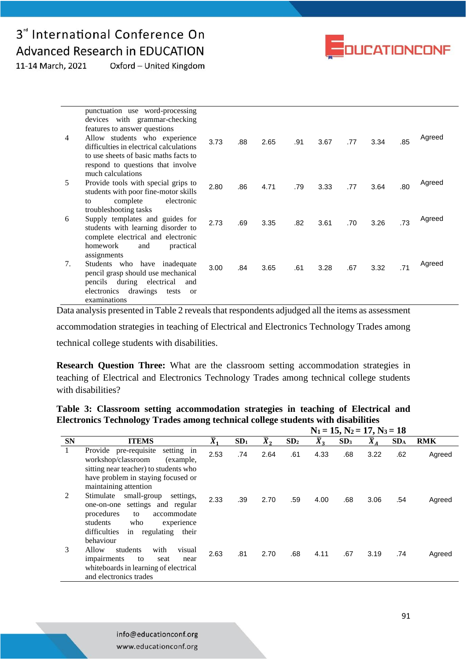## 3<sup>rd</sup> International Conference On **Advanced Research in EDUCATION**



11-14 March, 2021 Oxford - United Kingdom

| 4  | punctuation use word-processing<br>devices with grammar-checking<br>features to answer questions<br>Allow students who experience<br>difficulties in electrical calculations<br>to use sheets of basic maths facts to<br>respond to questions that involve | 3.73 | .88 | 2.65 | .91 | 3.67 | .77 | 3.34 | .85 | Agreed |
|----|------------------------------------------------------------------------------------------------------------------------------------------------------------------------------------------------------------------------------------------------------------|------|-----|------|-----|------|-----|------|-----|--------|
| 5  | much calculations<br>Provide tools with special grips to<br>students with poor fine-motor skills<br>complete<br>electronic<br>to                                                                                                                           | 2.80 | .86 | 4.71 | .79 | 3.33 | .77 | 3.64 | .80 | Agreed |
| 6  | troubleshooting tasks<br>Supply templates and guides for<br>students with learning disorder to<br>complete electrical and electronic<br>homework<br>practical<br>and                                                                                       | 2.73 | .69 | 3.35 | .82 | 3.61 | .70 | 3.26 | .73 | Agreed |
| 7. | assignments<br>Students who have<br>inadequate<br>pencil grasp should use mechanical<br>pencils during electrical<br>and<br>drawings<br>electronics<br>tests<br><sub>or</sub><br>examinations                                                              | 3.00 | .84 | 3.65 | .61 | 3.28 | .67 | 3.32 | .71 | Agreed |

Data analysis presented in Table 2 reveals that respondents adjudged all the items as assessment

accommodation strategies in teaching of Electrical and Electronics Technology Trades among

technical college students with disabilities.

**Research Question Three:** What are the classroom setting accommodation strategies in teaching of Electrical and Electronics Technology Trades among technical college students with disabilities?

### **Table 3: Classroom setting accommodation strategies in teaching of Electrical and Electronics Technology Trades among technical college students with disabilities**

|              |                                                                                                                                                                                                           |                  |                 | $N_1 = 15$ , $N_2 = 17$ , $N_3 = 18$ |                 |                  |                 |                  |                 |            |  |
|--------------|-----------------------------------------------------------------------------------------------------------------------------------------------------------------------------------------------------------|------------------|-----------------|--------------------------------------|-----------------|------------------|-----------------|------------------|-----------------|------------|--|
| <b>SN</b>    | <b>ITEMS</b>                                                                                                                                                                                              | $\overline{X}_1$ | SD <sub>1</sub> | $\overline{X}_2$                     | SD <sub>2</sub> | $\overline{X}_3$ | SD <sub>3</sub> | $\overline{X}_A$ | SD <sub>A</sub> | <b>RMK</b> |  |
| $\mathbf{1}$ | Provide pre-requisite<br>setting in<br>workshop/classroom<br>(example,<br>sitting near teacher) to students who<br>have problem in staying focused or<br>maintaining attention                            | 2.53             | .74             | 2.64                                 | .61             | 4.33             | .68             | 3.22             | .62             | Agreed     |  |
| 2            | Stimulate<br>small-group<br>settings,<br>settings and regular<br>one-on-one<br>procedures<br>accommodate<br>to<br>students<br>who<br>experience<br>regulating<br>difficulties<br>in<br>their<br>behaviour | 2.33             | .39             | 2.70                                 | .59             | 4.00             | .68             | 3.06             | .54             | Agreed     |  |
| 3            | Allow<br>with<br>students<br>visual<br>impairments<br>to<br>seat<br>near<br>whiteboards in learning of electrical<br>and electronics trades                                                               | 2.63             | .81             | 2.70                                 | .68             | 4.11             | .67             | 3.19             | .74             | Agreed     |  |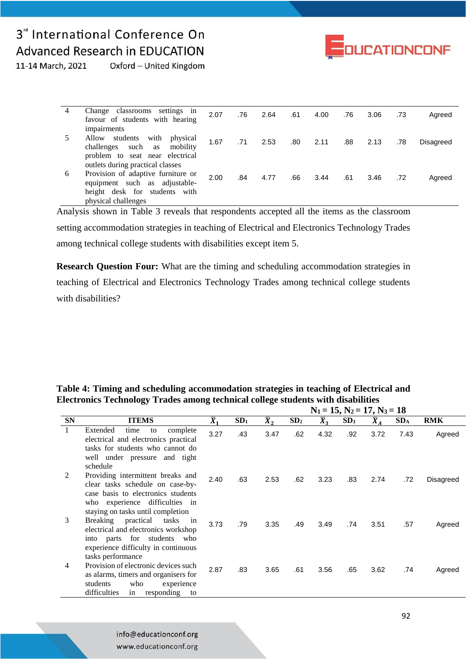## 3<sup>rd</sup> International Conference On **Advanced Research in EDUCATION**



11-14 March, 2021 Oxford - United Kingdom

|   | Change classrooms settings in<br>favour of students with hearing                                                                                                   | 2.07 | .76 | 2.64 | .61 | 4.00 | .76 | 3.06 | .73 | Agreed    |
|---|--------------------------------------------------------------------------------------------------------------------------------------------------------------------|------|-----|------|-----|------|-----|------|-----|-----------|
|   | impairments<br>with<br>Allow<br>students<br>physical<br>challenges such as<br>mobility<br>problem to seat near electrical                                          | 1.67 | .71 | 2.53 | .80 | 2.11 | .88 | 2.13 | .78 | Disagreed |
| 6 | outlets during practical classes<br>Provision of adaptive furniture or<br>equipment such as adjustable-<br>height desk for students<br>with<br>physical challenges | 2.00 | .84 | 4.77 | .66 | 3.44 | .61 | 3.46 | .72 | Agreed    |

Analysis shown in Table 3 reveals that respondents accepted all the items as the classroom setting accommodation strategies in teaching of Electrical and Electronics Technology Trades among technical college students with disabilities except item 5.

**Research Question Four:** What are the timing and scheduling accommodation strategies in teaching of Electrical and Electronics Technology Trades among technical college students with disabilities?

|           |                                                                                                                                                                                    |                  |                 |             | $131 - 133.132 - 173.133 - 10$<br>$\overline{X}_3$<br>SD <sub>2</sub><br>SD <sub>3</sub><br>SD <sub>A</sub><br><b>RMK</b><br>$\bar{X}_A$<br>.62<br>4.32<br>.92<br>3.72<br>7.43<br>.62<br>3.23<br>.83<br>2.74<br>.72<br>.57<br>.49<br>3.49<br>.74<br>3.51 |      |     |      |     |           |
|-----------|------------------------------------------------------------------------------------------------------------------------------------------------------------------------------------|------------------|-----------------|-------------|----------------------------------------------------------------------------------------------------------------------------------------------------------------------------------------------------------------------------------------------------------|------|-----|------|-----|-----------|
| <b>SN</b> | <b>ITEMS</b>                                                                                                                                                                       | $\overline{X}_1$ | SD <sub>1</sub> | $\bar{X}_2$ |                                                                                                                                                                                                                                                          |      |     |      |     |           |
| 1         | Extended<br>complete<br>time<br>to<br>electrical and electronics practical<br>tasks for students who cannot do<br>well under pressure and tight<br>schedule                        | 3.27             | .43             | 3.47        |                                                                                                                                                                                                                                                          |      |     |      |     | Agreed    |
| 2         | Providing intermittent breaks and<br>clear tasks schedule on case-by-<br>case basis to electronics students<br>who experience difficulties in<br>staying on tasks until completion | 2.40             | .63             | 2.53        |                                                                                                                                                                                                                                                          |      |     |      |     | Disagreed |
| 3         | practical tasks<br>Breaking<br>in<br>electrical and electronics workshop<br>into parts for students<br>who<br>experience difficulty in continuous<br>tasks performance             | 3.73             | .79             | 3.35        |                                                                                                                                                                                                                                                          |      |     |      |     | Agreed    |
| 4         | Provision of electronic devices such<br>as alarms, timers and organisers for<br>students<br>who<br>experience<br>difficulties<br>responding<br>in<br>to                            | 2.87             | .83             | 3.65        | .61                                                                                                                                                                                                                                                      | 3.56 | .65 | 3.62 | .74 | Agreed    |

**Table 4: Timing and scheduling accommodation strategies in teaching of Electrical and Electronics Technology Trades among technical college students with disabilities**  $N_1 = 15, N_2 = 17, N_3 = 18$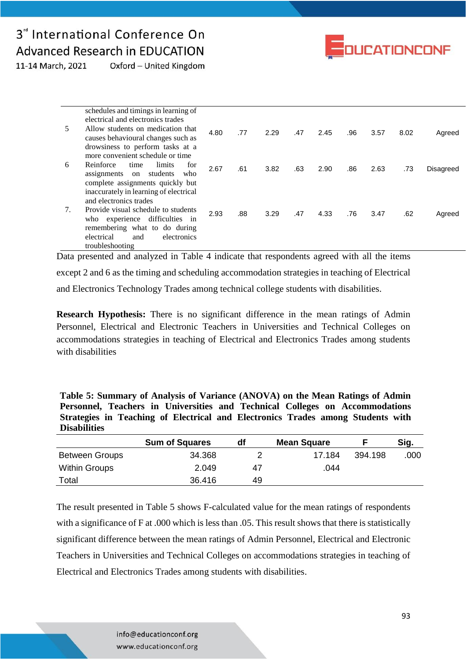## 3<sup>"</sup> International Conference On **Advanced Research in EDUCATION**



Oxford - United Kingdom 11-14 March, 2021

| 5  | schedules and timings in learning of<br>electrical and electronics trades<br>Allow students on medication that<br>causes behavioural changes such as<br>drowsiness to perform tasks at a     | 4.80 | .77 | 2.29 | .47 | 2.45 | .96 | 3.57 | 8.02 | Agreed    |
|----|----------------------------------------------------------------------------------------------------------------------------------------------------------------------------------------------|------|-----|------|-----|------|-----|------|------|-----------|
| 6  | more convenient schedule or time<br>limits<br>Reinforce<br>time<br>for<br>students<br>assignments<br>on<br>who<br>complete assignments quickly but<br>inaccurately in learning of electrical | 2.67 | .61 | 3.82 | .63 | 2.90 | .86 | 2.63 | .73  | Disagreed |
| 7. | and electronics trades<br>Provide visual schedule to students<br>who experience difficulties in<br>remembering what to do during<br>electrical<br>electronics<br>and<br>troubleshooting      | 2.93 | .88 | 3.29 | .47 | 4.33 | .76 | 3.47 | .62  | Agreed    |

Data presented and analyzed in Table 4 indicate that respondents agreed with all the items except 2 and 6 as the timing and scheduling accommodation strategies in teaching of Electrical and Electronics Technology Trades among technical college students with disabilities.

**Research Hypothesis:** There is no significant difference in the mean ratings of Admin Personnel, Electrical and Electronic Teachers in Universities and Technical Colleges on accommodations strategies in teaching of Electrical and Electronics Trades among students with disabilities

| Table 5: Summary of Analysis of Variance (ANOVA) on the Mean Ratings of Admin   |  |
|---------------------------------------------------------------------------------|--|
| Personnel, Teachers in Universities and Technical Colleges on Accommodations    |  |
| Strategies in Teaching of Electrical and Electronics Trades among Students with |  |
| <b>Disabilities</b>                                                             |  |

|                       | <b>Sum of Squares</b> | df | <b>Mean Square</b> |         | Sig. |
|-----------------------|-----------------------|----|--------------------|---------|------|
| <b>Between Groups</b> | 34.368                |    | 17.184             | 394.198 | .000 |
| <b>Within Groups</b>  | 2.049                 | 47 | .044               |         |      |
| Total                 | 36.416                | 49 |                    |         |      |

The result presented in Table 5 shows F-calculated value for the mean ratings of respondents with a significance of F at .000 which is less than .05. This result shows that there is statistically significant difference between the mean ratings of Admin Personnel, Electrical and Electronic Teachers in Universities and Technical Colleges on accommodations strategies in teaching of Electrical and Electronics Trades among students with disabilities.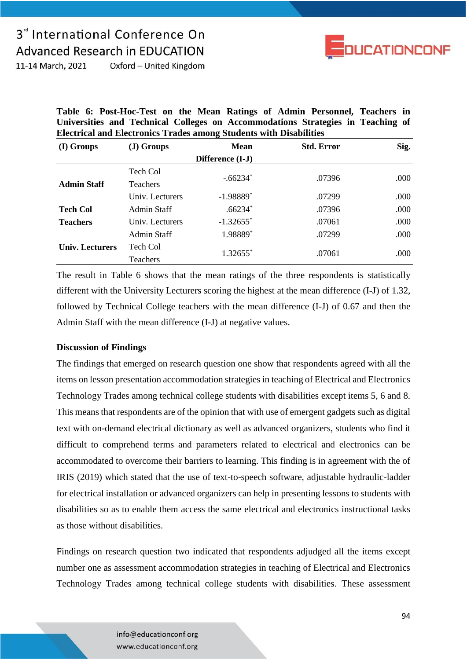# 3<sup>"</sup> International Conference On **Advanced Research in EDUCATION**



11-14 March, 2021 Oxford - United Kingdom

| Table 6: Post-Hoc-Test on the Mean Ratings of Admin Personnel, Teachers in      |  |  |  |  |  |  |
|---------------------------------------------------------------------------------|--|--|--|--|--|--|
| Universities and Technical Colleges on Accommodations Strategies in Teaching of |  |  |  |  |  |  |
| <b>Electrical and Electronics Trades among Students with Disabilities</b>       |  |  |  |  |  |  |

| (I) Groups         | (J) Groups      | <b>Mean</b>             | <b>Std. Error</b> | Sig. |
|--------------------|-----------------|-------------------------|-------------------|------|
|                    |                 | Difference (I-J)        |                   |      |
|                    | Tech Col        |                         |                   |      |
| <b>Admin Staff</b> | <b>Teachers</b> | $-.66234*$              | .07396            | .000 |
|                    | Univ. Lecturers | $-1.98889$ <sup>*</sup> | .07299            | .000 |
| <b>Tech Col</b>    | Admin Staff     | $.66234*$               | .07396            | .000 |
| <b>Teachers</b>    | Univ. Lecturers | $-1.32655$ <sup>*</sup> | .07061            | .000 |
|                    | Admin Staff     | 1.98889*                | .07299            | .000 |
| Univ. Lecturers    | Tech Col        | $1.32655$ <sup>*</sup>  | .07061            | .000 |
|                    | Teachers        |                         |                   |      |

The result in Table 6 shows that the mean ratings of the three respondents is statistically different with the University Lecturers scoring the highest at the mean difference (I-J) of 1.32, followed by Technical College teachers with the mean difference (I-J) of 0.67 and then the Admin Staff with the mean difference (I-J) at negative values.

### **Discussion of Findings**

The findings that emerged on research question one show that respondents agreed with all the items on lesson presentation accommodation strategies in teaching of Electrical and Electronics Technology Trades among technical college students with disabilities except items 5, 6 and 8. This means that respondents are of the opinion that with use of emergent gadgets such as digital text with on-demand electrical dictionary as well as advanced organizers, students who find it difficult to comprehend terms and parameters related to electrical and electronics can be accommodated to overcome their barriers to learning. This finding is in agreement with the of IRIS (2019) which stated that the use of text-to-speech software, adjustable hydraulic-ladder for electrical installation or advanced organizers can help in presenting lessons to students with disabilities so as to enable them access the same electrical and electronics instructional tasks as those without disabilities.

Findings on research question two indicated that respondents adjudged all the items except number one as assessment accommodation strategies in teaching of Electrical and Electronics Technology Trades among technical college students with disabilities. These assessment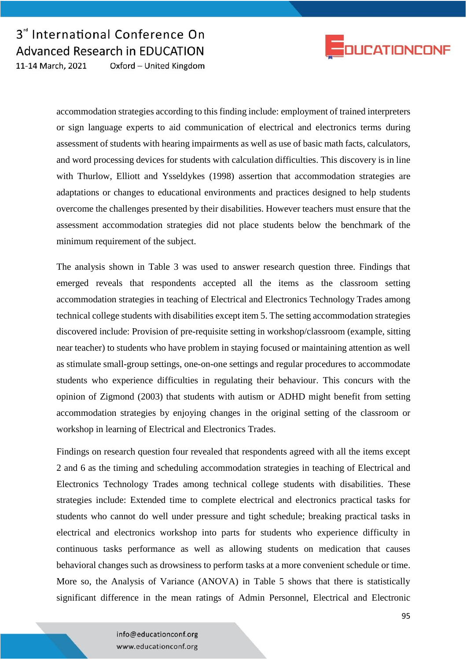

accommodation strategies according to this finding include: employment of trained interpreters or sign language experts to aid communication of electrical and electronics terms during assessment of students with hearing impairments as well as use of basic math facts, calculators, and word processing devices for students with calculation difficulties. This discovery is in line with Thurlow, Elliott and Ysseldykes (1998) assertion that accommodation strategies are adaptations or changes to educational environments and practices designed to help students overcome the challenges presented by their disabilities. However teachers must ensure that the assessment accommodation strategies did not place students below the benchmark of the minimum requirement of the subject.

The analysis shown in Table 3 was used to answer research question three. Findings that emerged reveals that respondents accepted all the items as the classroom setting accommodation strategies in teaching of Electrical and Electronics Technology Trades among technical college students with disabilities except item 5. The setting accommodation strategies discovered include: Provision of pre-requisite setting in workshop/classroom (example, sitting near teacher) to students who have problem in staying focused or maintaining attention as well as stimulate small-group settings, one-on-one settings and regular procedures to accommodate students who experience difficulties in regulating their behaviour. This concurs with the opinion of Zigmond (2003) that students with autism or ADHD might benefit from setting accommodation strategies by enjoying changes in the original setting of the classroom or workshop in learning of Electrical and Electronics Trades.

Findings on research question four revealed that respondents agreed with all the items except 2 and 6 as the timing and scheduling accommodation strategies in teaching of Electrical and Electronics Technology Trades among technical college students with disabilities. These strategies include: Extended time to complete electrical and electronics practical tasks for students who cannot do well under pressure and tight schedule; breaking practical tasks in electrical and electronics workshop into parts for students who experience difficulty in continuous tasks performance as well as allowing students on medication that causes behavioral changes such as drowsiness to perform tasks at a more convenient schedule or time. More so, the Analysis of Variance (ANOVA) in Table 5 shows that there is statistically significant difference in the mean ratings of Admin Personnel, Electrical and Electronic

> info@educationconf.org www.educationconf.org

**DUCATIONCONF**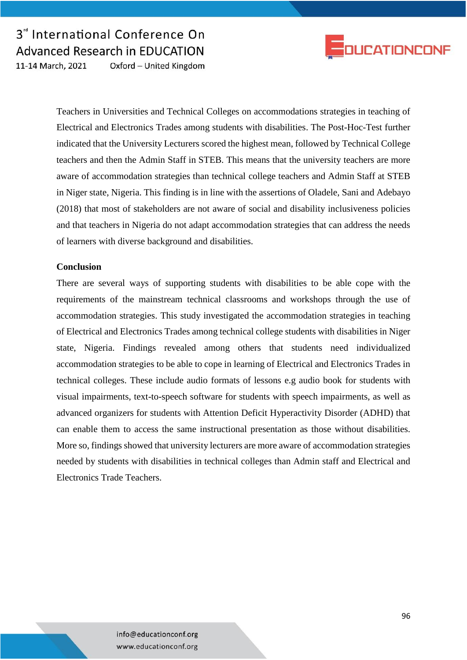



Teachers in Universities and Technical Colleges on accommodations strategies in teaching of Electrical and Electronics Trades among students with disabilities. The Post-Hoc-Test further indicated that the University Lecturers scored the highest mean, followed by Technical College teachers and then the Admin Staff in STEB. This means that the university teachers are more aware of accommodation strategies than technical college teachers and Admin Staff at STEB in Niger state, Nigeria. This finding is in line with the assertions of Oladele, Sani and Adebayo (2018) that most of stakeholders are not aware of social and disability inclusiveness policies and that teachers in Nigeria do not adapt accommodation strategies that can address the needs of learners with diverse background and disabilities.

#### **Conclusion**

There are several ways of supporting students with disabilities to be able cope with the requirements of the mainstream technical classrooms and workshops through the use of accommodation strategies. This study investigated the accommodation strategies in teaching of Electrical and Electronics Trades among technical college students with disabilities in Niger state, Nigeria. Findings revealed among others that students need individualized accommodation strategies to be able to cope in learning of Electrical and Electronics Trades in technical colleges. These include audio formats of lessons e.g audio book for students with visual impairments, text-to-speech software for students with speech impairments, as well as advanced organizers for students with Attention Deficit Hyperactivity Disorder (ADHD) that can enable them to access the same instructional presentation as those without disabilities. More so, findings showed that university lecturers are more aware of accommodation strategies needed by students with disabilities in technical colleges than Admin staff and Electrical and Electronics Trade Teachers.

> info@educationconf.org www.educationconf.org

96